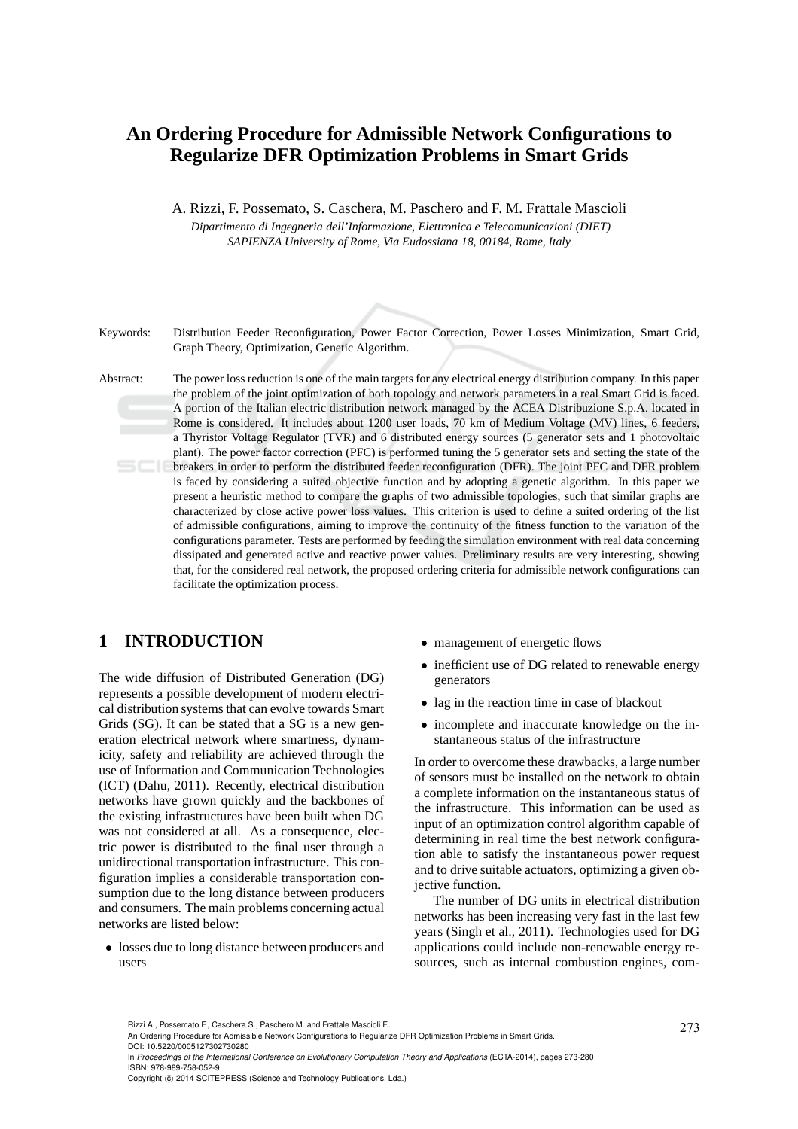# **An Ordering Procedure for Admissible Network Configurations to Regularize DFR Optimization Problems in Smart Grids**

A. Rizzi, F. Possemato, S. Caschera, M. Paschero and F. M. Frattale Mascioli

*Dipartimento di Ingegneria dell'Informazione, Elettronica e Telecomunicazioni (DIET) SAPIENZA University of Rome, Via Eudossiana 18, 00184, Rome, Italy*

Keywords: Distribution Feeder Reconfiguration, Power Factor Correction, Power Losses Minimization, Smart Grid, Graph Theory, Optimization, Genetic Algorithm.

Abstract: The power loss reduction is one of the main targets for any electrical energy distribution company. In this paper the problem of the joint optimization of both topology and network parameters in a real Smart Grid is faced. A portion of the Italian electric distribution network managed by the ACEA Distribuzione S.p.A. located in Rome is considered. It includes about 1200 user loads, 70 km of Medium Voltage (MV) lines, 6 feeders, a Thyristor Voltage Regulator (TVR) and 6 distributed energy sources (5 generator sets and 1 photovoltaic plant). The power factor correction (PFC) is performed tuning the 5 generator sets and setting the state of the breakers in order to perform the distributed feeder reconfiguration (DFR). The joint PFC and DFR problem is faced by considering a suited objective function and by adopting a genetic algorithm. In this paper we present a heuristic method to compare the graphs of two admissible topologies, such that similar graphs are characterized by close active power loss values. This criterion is used to define a suited ordering of the list of admissible configurations, aiming to improve the continuity of the fitness function to the variation of the configurations parameter. Tests are performed by feeding the simulation environment with real data concerning dissipated and generated active and reactive power values. Preliminary results are very interesting, showing that, for the considered real network, the proposed ordering criteria for admissible network configurations can facilitate the optimization process.

## **1 INTRODUCTION**

The wide diffusion of Distributed Generation (DG) represents a possible development of modern electrical distribution systems that can evolve towards Smart Grids (SG). It can be stated that a SG is a new generation electrical network where smartness, dynamicity, safety and reliability are achieved through the use of Information and Communication Technologies (ICT) (Dahu, 2011). Recently, electrical distribution networks have grown quickly and the backbones of the existing infrastructures have been built when DG was not considered at all. As a consequence, electric power is distributed to the final user through a unidirectional transportation infrastructure. This configuration implies a considerable transportation consumption due to the long distance between producers and consumers. The main problems concerning actual networks are listed below:

• losses due to long distance between producers and users

- management of energetic flows
- inefficient use of DG related to renewable energy generators
- lag in the reaction time in case of blackout
- incomplete and inaccurate knowledge on the instantaneous status of the infrastructure

In order to overcome these drawbacks, a large number of sensors must be installed on the network to obtain a complete information on the instantaneous status of the infrastructure. This information can be used as input of an optimization control algorithm capable of determining in real time the best network configuration able to satisfy the instantaneous power request and to drive suitable actuators, optimizing a given objective function.

The number of DG units in electrical distribution networks has been increasing very fast in the last few years (Singh et al., 2011). Technologies used for DG applications could include non-renewable energy resources, such as internal combustion engines, com-

In *Proceedings of the International Conference on Evolutionary Computation Theory and Applications* (ECTA-2014), pages 273-280 ISBN: 978-989-758-052-9

Rizzi A., Possemato F., Caschera S., Paschero M. and Frattale Mascioli F..<br>An Ordering Procedure for Admissible Network Configurations to Regularize DFR Optimization Problems in Smart Grids. DOI: 10.5220/0005127302730280

Copyright © 2014 SCITEPRESS (Science and Technology Publications, Lda.)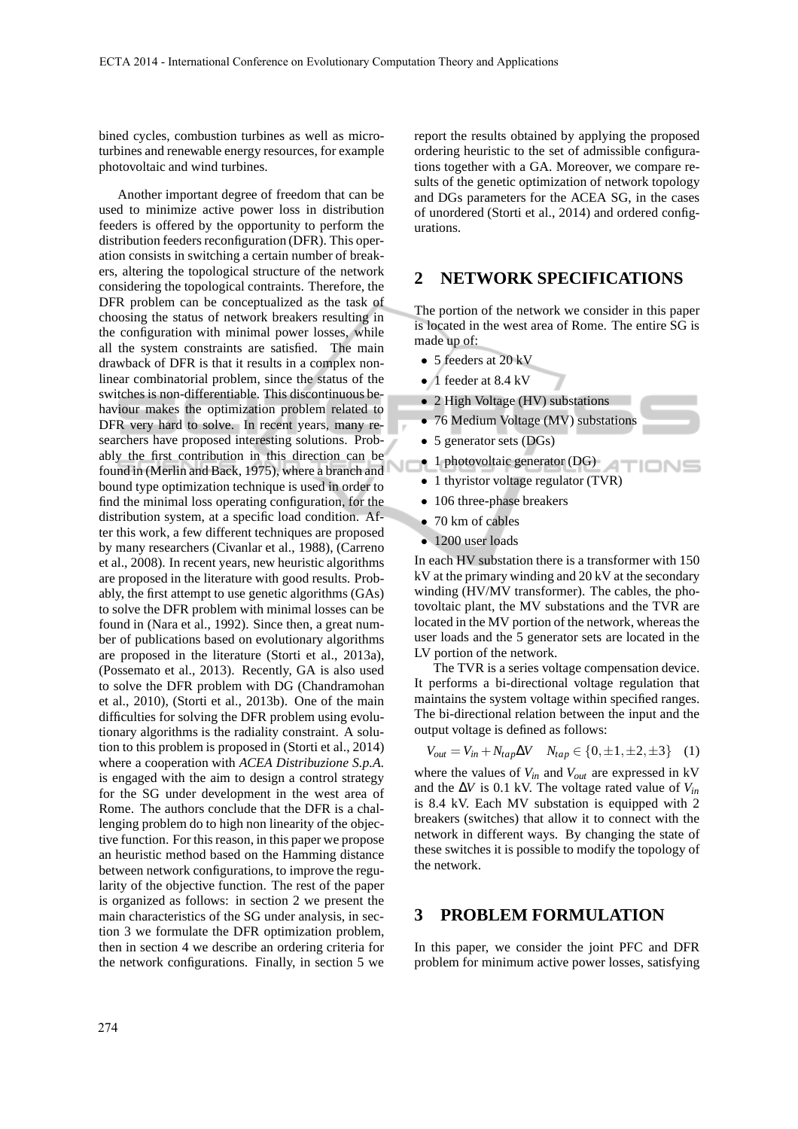bined cycles, combustion turbines as well as microturbines and renewable energy resources, for example photovoltaic and wind turbines.

Another important degree of freedom that can be used to minimize active power loss in distribution feeders is offered by the opportunity to perform the distribution feeders reconfiguration (DFR). This operation consists in switching a certain number of breakers, altering the topological structure of the network considering the topological contraints. Therefore, the DFR problem can be conceptualized as the task of choosing the status of network breakers resulting in the configuration with minimal power losses, while all the system constraints are satisfied. The main drawback of DFR is that it results in a complex nonlinear combinatorial problem, since the status of the switches is non-differentiable. This discontinuous behaviour makes the optimization problem related to DFR very hard to solve. In recent years, many researchers have proposed interesting solutions. Probably the first contribution in this direction can be found in (Merlin and Back, 1975), where a branch and bound type optimization technique is used in order to find the minimal loss operating configuration, for the distribution system, at a specific load condition. After this work, a few different techniques are proposed by many researchers (Civanlar et al., 1988), (Carreno et al., 2008). In recent years, new heuristic algorithms are proposed in the literature with good results. Probably, the first attempt to use genetic algorithms (GAs) to solve the DFR problem with minimal losses can be found in (Nara et al., 1992). Since then, a great number of publications based on evolutionary algorithms are proposed in the literature (Storti et al., 2013a), (Possemato et al., 2013). Recently, GA is also used to solve the DFR problem with DG (Chandramohan et al., 2010), (Storti et al., 2013b). One of the main difficulties for solving the DFR problem using evolutionary algorithms is the radiality constraint. A solution to this problem is proposed in (Storti et al., 2014) where a cooperation with *ACEA Distribuzione S.p.A.* is engaged with the aim to design a control strategy for the SG under development in the west area of Rome. The authors conclude that the DFR is a challenging problem do to high non linearity of the objective function. For this reason, in this paper we propose an heuristic method based on the Hamming distance between network configurations, to improve the regularity of the objective function. The rest of the paper is organized as follows: in section 2 we present the main characteristics of the SG under analysis, in section 3 we formulate the DFR optimization problem, then in section 4 we describe an ordering criteria for the network configurations. Finally, in section 5 we

report the results obtained by applying the proposed ordering heuristic to the set of admissible configurations together with a GA. Moreover, we compare results of the genetic optimization of network topology and DGs parameters for the ACEA SG, in the cases of unordered (Storti et al., 2014) and ordered configurations.

## **2 NETWORK SPECIFICATIONS**

The portion of the network we consider in this paper is located in the west area of Rome. The entire SG is made up of:

- 5 feeders at 20 kV
- 1 feeder at 8.4 kV
- 2 High Voltage (HV) substations
- 76 Medium Voltage (MV) substations
- 5 generator sets (DGs)
- 1 photovoltaic generator (DG)
- 1 thyristor voltage regulator (TVR)
- 106 three-phase breakers
- 70 km of cables
- 1200 user loads

In each HV substation there is a transformer with 150 kV at the primary winding and 20 kV at the secondary winding (HV/MV transformer). The cables, the photovoltaic plant, the MV substations and the TVR are located in the MV portion of the network, whereas the user loads and the 5 generator sets are located in the LV portion of the network.

The TVR is a series voltage compensation device. It performs a bi-directional voltage regulation that maintains the system voltage within specified ranges. The bi-directional relation between the input and the output voltage is defined as follows:

$$
V_{out} = V_{in} + N_{tap} \Delta V \quad N_{tap} \in \{0, \pm 1, \pm 2, \pm 3\} \quad (1)
$$

where the values of *Vin* and *Vout* are expressed in kV and the ∆*V* is 0.1 kV. The voltage rated value of *Vin* is 8.4 kV. Each MV substation is equipped with 2 breakers (switches) that allow it to connect with the network in different ways. By changing the state of these switches it is possible to modify the topology of the network.

#### **3 PROBLEM FORMULATION**

In this paper, we consider the joint PFC and DFR problem for minimum active power losses, satisfying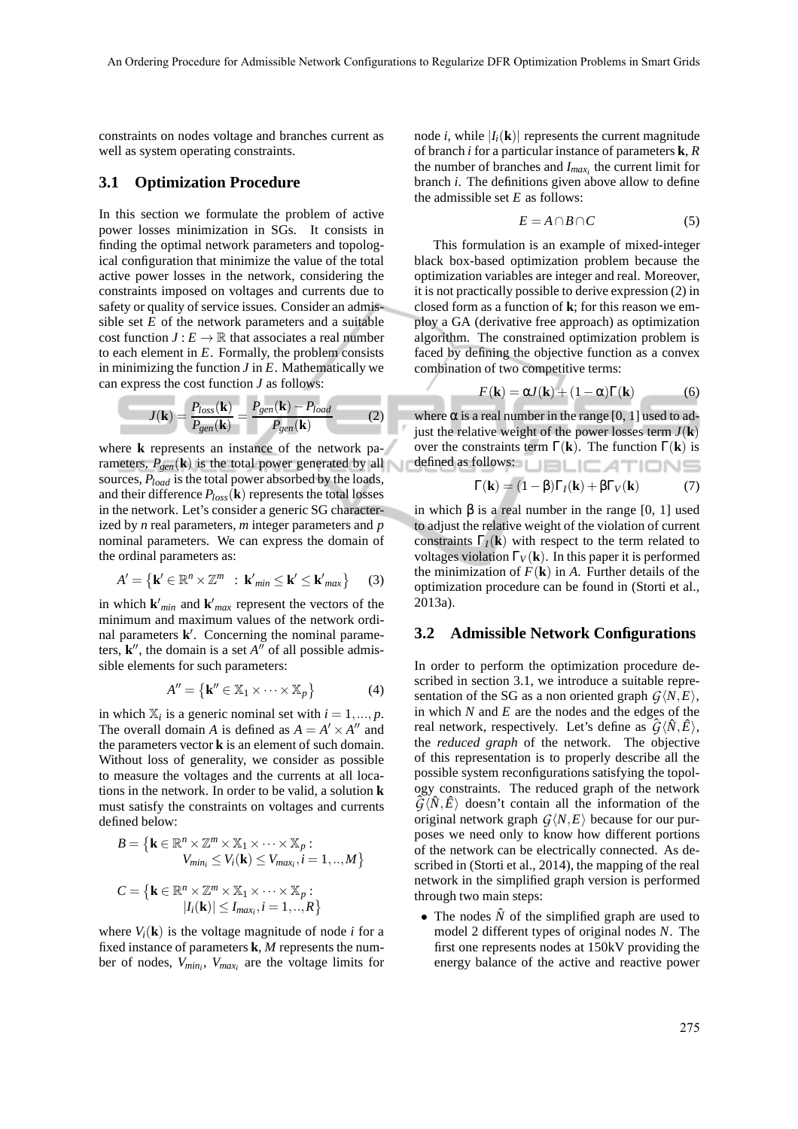constraints on nodes voltage and branches current as well as system operating constraints.

#### **3.1 Optimization Procedure**

In this section we formulate the problem of active power losses minimization in SGs. It consists in finding the optimal network parameters and topological configuration that minimize the value of the total active power losses in the network, considering the constraints imposed on voltages and currents due to safety or quality of service issues. Consider an admissible set *E* of the network parameters and a suitable cost function  $J: E \to \mathbb{R}$  that associates a real number to each element in *E*. Formally, the problem consists in minimizing the function *J* in *E*. Mathematically we can express the cost function *J* as follows:

$$
J(\mathbf{k}) = \frac{P_{loss}(\mathbf{k})}{P_{gen}(\mathbf{k})} = \frac{P_{gen}(\mathbf{k}) - P_{load}}{P_{gen}(\mathbf{k})}
$$
(2)

where **k** represents an instance of the network parameters,  $P_{gen}(\mathbf{k})$  is the total power generated by all sources, *Pload* is the total power absorbed by the loads, and their difference  $P_{loss}(\mathbf{k})$  represents the total losses in the network. Let's consider a generic SG characterized by *n* real parameters, *m* integer parameters and *p* nominal parameters. We can express the domain of the ordinal parameters as:

$$
A' = \left\{ \mathbf{k}' \in \mathbb{R}^n \times \mathbb{Z}^m \ : \ \mathbf{k}'_{\text{min}} \leq \mathbf{k}' \leq \mathbf{k}'_{\text{max}} \right\} \tag{3}
$$

in which  $\mathbf{k}'_{min}$  and  $\mathbf{k}'_{max}$  represent the vectors of the minimum and maximum values of the network ordinal parameters **k** ′ . Concerning the nominal parameters,  $\mathbf{k}''$ , the domain is a set  $A''$  of all possible admissible elements for such parameters:

$$
A'' = \{ \mathbf{k}'' \in \mathbb{X}_1 \times \dots \times \mathbb{X}_p \}
$$
 (4)

in which  $\mathbb{X}_i$  is a generic nominal set with  $i = 1, ..., p$ . The overall domain *A* is defined as  $A = A' \times A''$  and the parameters vector **k** is an element of such domain. Without loss of generality, we consider as possible to measure the voltages and the currents at all locations in the network. In order to be valid, a solution **k** must satisfy the constraints on voltages and currents defined below:

$$
B = \left\{ \mathbf{k} \in \mathbb{R}^n \times \mathbb{Z}^m \times \mathbb{X}_1 \times \dots \times \mathbb{X}_p : V_{min_i} \le V_i(\mathbf{k}) \le V_{max_i}, i = 1, ..., M \right\}
$$
  

$$
C = \left\{ \mathbf{k} \in \mathbb{R}^n \times \mathbb{Z}^m \times \mathbb{X}_1 \times \dots \times \mathbb{X}_p : |I_i(\mathbf{k})| \le I_{max_i}, i = 1, ..., R \right\}
$$

where  $V_i(\mathbf{k})$  is the voltage magnitude of node *i* for a fixed instance of parameters **k**, *M* represents the number of nodes, *Vmin<sup>i</sup>* , *Vmax<sup>i</sup>* are the voltage limits for

node *i*, while  $|I_i(\mathbf{k})|$  represents the current magnitude of branch *i* for a particular instance of parameters **k**, *R* the number of branches and *Imax<sup>i</sup>* the current limit for branch *i*. The definitions given above allow to define the admissible set *E* as follows:

$$
E = A \cap B \cap C \tag{5}
$$

This formulation is an example of mixed-integer black box-based optimization problem because the optimization variables are integer and real. Moreover, it is not practically possible to derive expression (2) in closed form as a function of **k**; for this reason we employ a GA (derivative free approach) as optimization algorithm. The constrained optimization problem is faced by defining the objective function as a convex combination of two competitive terms:

$$
F(\mathbf{k}) = \alpha J(\mathbf{k}) + (1 - \alpha)\Gamma(\mathbf{k}) \tag{6}
$$

where  $\alpha$  is a real number in the range [0, 1] used to adjust the relative weight of the power losses term  $J(\mathbf{k})$ over the constraints term Γ(**k**). The function Γ(**k**) is defined as follows: **LIBLICATIONS** 

$$
\Gamma(\mathbf{k}) = (1 - \beta)\Gamma_I(\mathbf{k}) + \beta\Gamma_V(\mathbf{k})
$$
 (7)

in which  $β$  is a real number in the range  $[0, 1]$  used to adjust the relative weight of the violation of current constraints  $\Gamma$ <sup>*I*</sup>(**k**) with respect to the term related to voltages violation  $\Gamma_V(\mathbf{k})$ . In this paper it is performed the minimization of  $F(\mathbf{k})$  in *A*. Further details of the optimization procedure can be found in (Storti et al., 2013a).

#### **3.2 Admissible Network Configurations**

In order to perform the optimization procedure described in section 3.1, we introduce a suitable representation of the SG as a non oriented graph  $G\langle N, E \rangle$ , in which *N* and *E* are the nodes and the edges of the real network, respectively. Let's define as  $\hat{G}\langle N,\hat{E}\rangle$ , the *reduced graph* of the network. The objective of this representation is to properly describe all the possible system reconfigurations satisfying the topology constraints. The reduced graph of the network  $\hat{G}\langle N,\hat{E}\rangle$  doesn't contain all the information of the original network graph  $G\langle N,E\rangle$  because for our purposes we need only to know how different portions of the network can be electrically connected. As described in (Storti et al., 2014), the mapping of the real network in the simplified graph version is performed through two main steps:

• The nodes  $\hat{N}$  of the simplified graph are used to model 2 different types of original nodes *N*. The first one represents nodes at 150kV providing the energy balance of the active and reactive power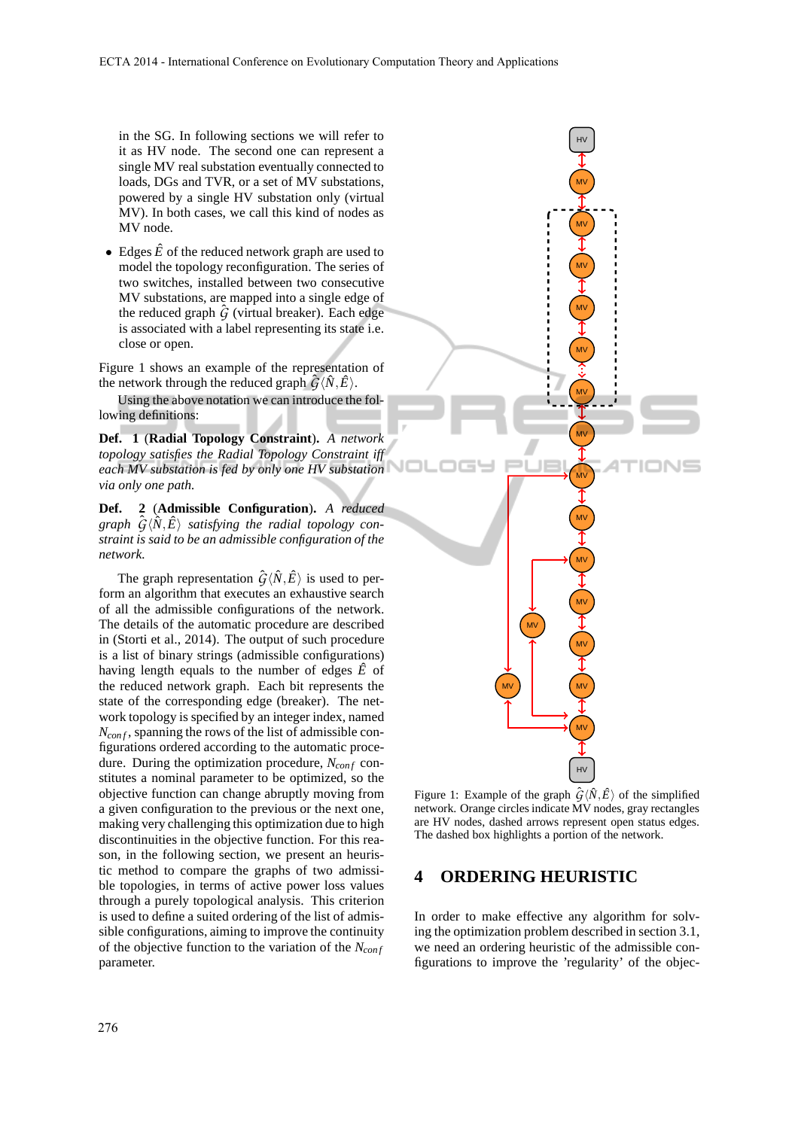in the SG. In following sections we will refer to it as HV node. The second one can represent a single MV real substation eventually connected to loads, DGs and TVR, or a set of MV substations, powered by a single HV substation only (virtual MV). In both cases, we call this kind of nodes as MV node.

• Edges  $\hat{E}$  of the reduced network graph are used to model the topology reconfiguration. The series of two switches, installed between two consecutive MV substations, are mapped into a single edge of the reduced graph  $\hat{G}$  (virtual breaker). Each edge is associated with a label representing its state i.e. close or open.

Figure 1 shows an example of the representation of the network through the reduced graph  $\hat{G}\langle\hat{N},\hat{E}\rangle$ .

Using the above notation we can introduce the following definitions:

**Def. 1** (**Radial Topology Constraint**)**.** *A network topology satisfies the Radial Topology Constraint iff each MV substation is fed by only one HV substation via only one path.*

**Def. 2** (**Admissible Configuration**)**.** *A reduced graph*  $\hat{G}\langle\hat{N},\hat{E}\rangle$  *satisfying the radial topology constraint is said to be an admissible configuration of the network.*

The graph representation  $\hat{G} \langle \hat{N}, \hat{E} \rangle$  is used to perform an algorithm that executes an exhaustive search of all the admissible configurations of the network. The details of the automatic procedure are described in (Storti et al., 2014). The output of such procedure is a list of binary strings (admissible configurations) having length equals to the number of edges  $\hat{E}$  of the reduced network graph. Each bit represents the state of the corresponding edge (breaker). The network topology is specified by an integer index, named *Ncon f* , spanning the rows of the list of admissible configurations ordered according to the automatic procedure. During the optimization procedure,  $N_{conf}$  constitutes a nominal parameter to be optimized, so the objective function can change abruptly moving from a given configuration to the previous or the next one, making very challenging this optimization due to high discontinuities in the objective function. For this reason, in the following section, we present an heuristic method to compare the graphs of two admissible topologies, in terms of active power loss values through a purely topological analysis. This criterion is used to define a suited ordering of the list of admissible configurations, aiming to improve the continuity of the objective function to the variation of the *Ncon f* parameter.



Figure 1: Example of the graph  $\hat{G}\langle \hat{N}, \hat{E} \rangle$  of the simplified network. Orange circles indicate MV nodes, gray rectangles are HV nodes, dashed arrows represent open status edges. The dashed box highlights a portion of the network.

## **4 ORDERING HEURISTIC**

In order to make effective any algorithm for solving the optimization problem described in section 3.1, we need an ordering heuristic of the admissible configurations to improve the 'regularity' of the objec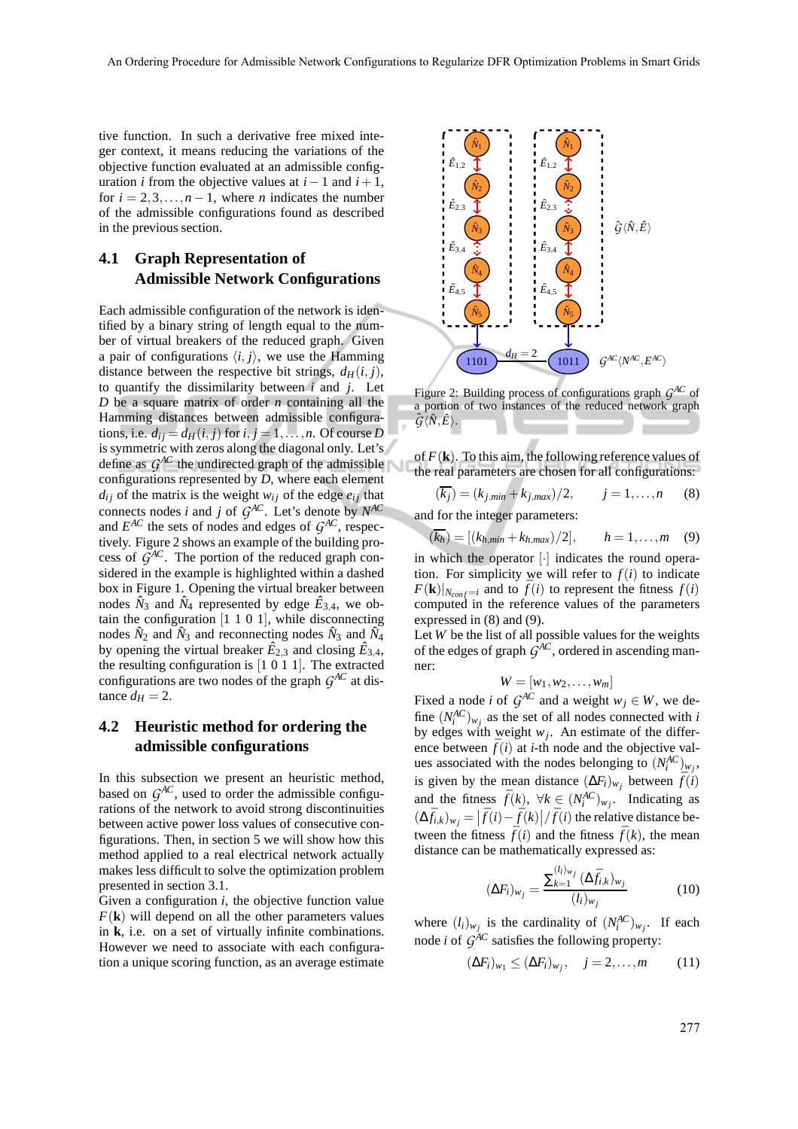tive function. In such a derivative free mixed integer context, it means reducing the variations of the objective function evaluated at an admissible configuration *i* from the objective values at  $i - 1$  and  $i + 1$ , for  $i = 2, 3, \ldots, n - 1$ , where *n* indicates the number of the admissible configurations found as described in the previous section.

## **4.1 Graph Representation of Admissible Network Configurations**

Each admissible configuration of the network is identified by a binary string of length equal to the number of virtual breakers of the reduced graph. Given a pair of configurations  $\langle i, j \rangle$ , we use the Hamming distance between the respective bit strings,  $d_H(i, j)$ , to quantify the dissimilarity between *i* and *j*. Let *D* be a square matrix of order *n* containing all the Hamming distances between admissible configurations, i.e.  $d_{ij} = d_H(i, j)$  for  $i, j = 1, \ldots, n$ . Of course *D* is symmetric with zeros along the diagonal only. Let's define as  $G^{AC}$  the undirected graph of the admissible configurations represented by *D*, where each element  $d_{ij}$  of the matrix is the weight  $w_{ij}$  of the edge  $e_{ij}$  that connects nodes *i* and *j* of  $G^{AC}$ . Let's denote by  $N^{AC}$ and  $E^{AC}$  the sets of nodes and edges of  $G^{AC}$ , respectively. Figure 2 shows an example of the building process of  $\tilde{G}^{AC}$ . The portion of the reduced graph considered in the example is highlighted within a dashed box in Figure 1. Opening the virtual breaker between nodes  $\hat{N}_3$  and  $\hat{N}_4$  represented by edge  $\hat{E}_{3,4}$ , we obtain the configuration  $[1\ 1\ 0\ 1]$ , while disconnecting nodes  $\hat{N}_2$  and  $\hat{N}_3$  and reconnecting nodes  $\hat{N}_3$  and  $\hat{N}_4$ by opening the virtual breaker  $\hat{E}_{2,3}$  and closing  $\hat{E}_{3,4}$ , the resulting configuration is [1 0 1 1]. The extracted configurations are two nodes of the graph  $G^{AC}$  at distance  $d_H = 2$ .

#### **4.2 Heuristic method for ordering the admissible configurations**

In this subsection we present an heuristic method, based on  $G^{AC}$ , used to order the admissible configurations of the network to avoid strong discontinuities between active power loss values of consecutive configurations. Then, in section 5 we will show how this method applied to a real electrical network actually makes less difficult to solve the optimization problem presented in section 3.1.

Given a configuration *i*, the objective function value  $F(\mathbf{k})$  will depend on all the other parameters values in **k**, i.e. on a set of virtually infinite combinations. However we need to associate with each configuration a unique scoring function, as an average estimate



Figure 2: Building process of configurations graph *G AC* of a portion of two instances of the reduced network graph  $\hat{G}\langle \hat{N}, \hat{E} \rangle$ .

of  $F(\mathbf{k})$ . To this aim, the following reference values of the real parameters are chosen for all configurations:

$$
(\overline{k_j}) = (k_{j,min} + k_{j,max})/2, \qquad j = 1, \dots, n \qquad (8)
$$

and for the integer parameters:

$$
(k_h) = [(k_{h,min} + k_{h,max})/2], \t h = 1,...,m \t (9)
$$

in which the operator [·] indicates the round operation. For simplicity we will refer to  $f(i)$  to indicate  $F(\mathbf{k})|_{N_{conf}=i}$  and to  $\bar{f}(i)$  to represent the fitness  $f(i)$ computed in the reference values of the parameters expressed in (8) and (9).

Let *W* be the list of all possible values for the weights of the edges of graph *G AC*, ordered in ascending manner:

$$
W=[w_1,w_2,\ldots,w_m]
$$

Fixed a node *i* of  $G^{AC}$  and a weight  $w_j \in W$ , we define  $(N_i^{AC})_{w_j}$  as the set of all nodes connected with *i* by edges with weight  $w_j$ . An estimate of the difference between  $\bar{f}(i)$  at *i*-th node and the objective values associated with the nodes belonging to  $(N_i^{AC})_{w_j}$ , is given by the mean distance  $(\Delta F_i)_{w_j}$  between  $\bar{f}(i)$ and the fitness  $\bar{f}(k)$ ,  $\forall k \in (N_i^{AC})_{w_j}$ . Indicating as  $(\Delta \bar{f}_{i,k})_{w_j} = \left| \bar{f}(i) - \bar{f}(k) \right| / \bar{f}(i)$  the relative distance between the fitness  $\bar{f}(i)$  and the fitness  $\bar{f}(k)$ , the mean distance can be mathematically expressed as:

$$
(\Delta F_i)_{w_j} = \frac{\sum_{k=1}^{(l_i)_{w_j}} (\Delta \bar{f}_{i,k})_{w_j}}{(l_i)_{w_j}} \tag{10}
$$

where  $(l_i)_{w_j}$  is the cardinality of  $(N_i^{AC})_{w_j}$ . If each node *i* of  $G^{AC}$  satisfies the following property:

$$
(\Delta F_i)_{w_1} \le (\Delta F_i)_{w_j}, \quad j = 2, \dots, m \tag{11}
$$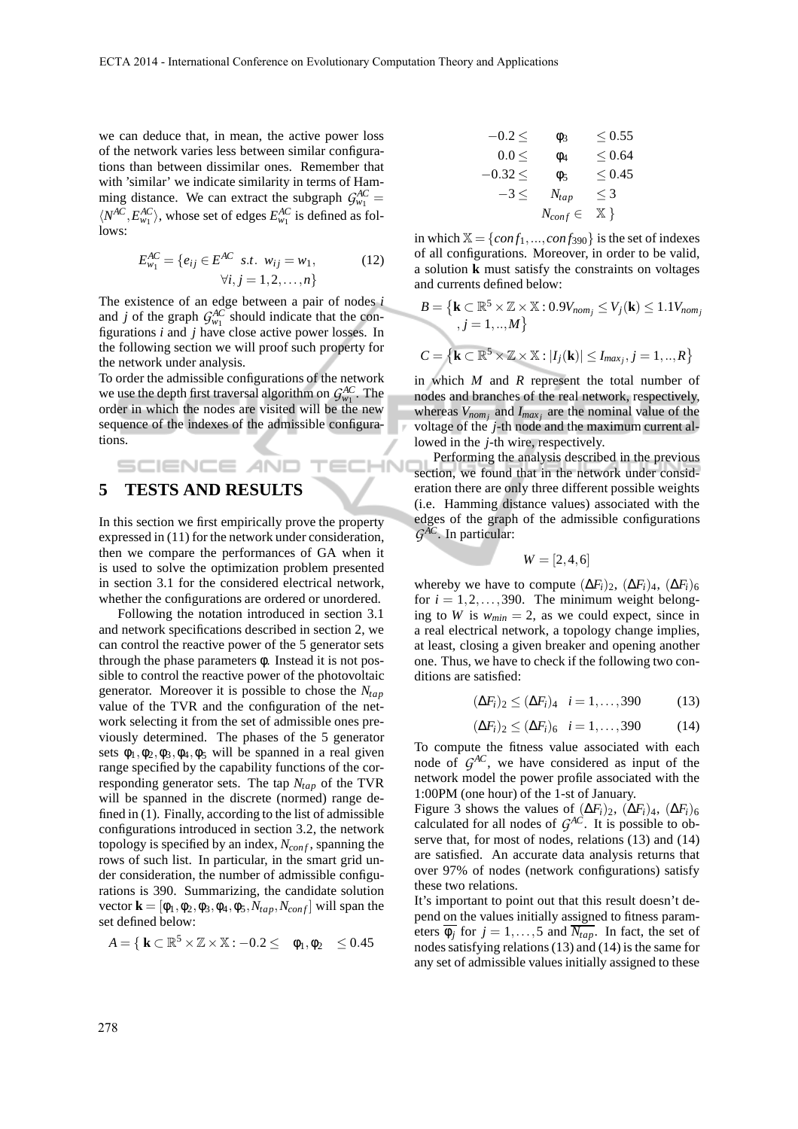ECHN

we can deduce that, in mean, the active power loss of the network varies less between similar configurations than between dissimilar ones. Remember that with 'similar' we indicate similarity in terms of Hamming distance. We can extract the subgraph  $\mathcal{G}_{w_1}^{AC} =$  $\langle N^{AC}, E_{w_1}^{AC} \rangle$ , whose set of edges  $E_{w_1}^{AC}$  is defined as follows:

$$
E_{w_1}^{AC} = \{e_{ij} \in E^{AC} \text{ s.t. } w_{ij} = w_1, \forall i, j = 1, 2, ..., n\}
$$
 (12)

The existence of an edge between a pair of nodes *i* and *j* of the graph  $G_{w_1}^{AC}$  should indicate that the configurations *i* and *j* have close active power losses. In the following section we will proof such property for the network under analysis.

To order the admissible configurations of the network we use the depth first traversal algorithm on  $\mathcal{G}_{w_1}^{AC}$ . The order in which the nodes are visited will be the new sequence of the indexes of the admissible configurations.

# SCIENCE *A*ND **5 TESTS AND RESULTS**

In this section we first empirically prove the property expressed in (11) for the network under consideration, then we compare the performances of GA when it is used to solve the optimization problem presented in section 3.1 for the considered electrical network, whether the configurations are ordered or unordered.

Following the notation introduced in section 3.1 and network specifications described in section 2, we can control the reactive power of the 5 generator sets through the phase parameters φ. Instead it is not possible to control the reactive power of the photovoltaic generator. Moreover it is possible to chose the *Ntap* value of the TVR and the configuration of the network selecting it from the set of admissible ones previously determined. The phases of the 5 generator sets  $\phi_1, \phi_2, \phi_3, \phi_4, \phi_5$  will be spanned in a real given range specified by the capability functions of the corresponding generator sets. The tap *Ntap* of the TVR will be spanned in the discrete (normed) range defined in (1). Finally, according to the list of admissible configurations introduced in section 3.2, the network topology is specified by an index,  $N_{conf}$ , spanning the rows of such list. In particular, in the smart grid under consideration, the number of admissible configurations is 390. Summarizing, the candidate solution vector  $\mathbf{k} = [\phi_1, \phi_2, \phi_3, \phi_4, \phi_5, N_{tan}, N_{conf}]$  will span the set defined below:

$$
\textbf{A} = \{ \textbf{k} \subset \mathbb{R}^5 \times \mathbb{Z} \times \mathbb{X} : -0.2 \leq \text{ } \phi_1, \phi_2 \text{ } \leq 0.45
$$

$$
\begin{array}{ccccc}\n-0.2 \le & \phi_3 & \le 0.55 \\
0.0 \le & \phi_4 & \le 0.64 \\
-0.32 \le & \phi_5 & \le 0.45 \\
-3 \le & N_{tap} & \le 3 \\
N_{conf} \in & \mathbb{X}\n\end{array}
$$

in which  $X = \{conf_1, ..., conf_{390}\}\$ is the set of indexes of all configurations. Moreover, in order to be valid, a solution **k** must satisfy the constraints on voltages and currents defined below:

$$
B = \left\{ \mathbf{k} \subset \mathbb{R}^5 \times \mathbb{Z} \times \mathbb{X} : 0.9V_{nom_j} \le V_j(\mathbf{k}) \le 1.1V_{nom_j} \right\}
$$
  
,  $j = 1, ..., M \left\}$   

$$
C = \left\{ \mathbf{k} \subset \mathbb{R}^5 \times \mathbb{Z} \times \mathbb{X} : |I_j(\mathbf{k})| \le I_{max_j}, j = 1, ..., R \right\}
$$

in which *M* and *R* represent the total number of nodes and branches of the real network, respectively, whereas  $V_{nom_j}$  and  $I_{max_j}$  are the nominal value of the voltage of the *j*-th node and the maximum current allowed in the *j*-th wire, respectively.

Performing the analysis described in the previous section, we found that in the network under consideration there are only three different possible weights (i.e. Hamming distance values) associated with the edges of the graph of the admissible configurations *G AC*. In particular:

$$
W=[2,4,6]
$$

whereby we have to compute  $(\Delta F_i)_2$ ,  $(\Delta F_i)_4$ ,  $(\Delta F_i)_6$ for  $i = 1, 2, \ldots, 390$ . The minimum weight belonging to *W* is  $w_{min} = 2$ , as we could expect, since in a real electrical network, a topology change implies, at least, closing a given breaker and opening another one. Thus, we have to check if the following two conditions are satisfied:

$$
(\Delta F_i)_2 \leq (\Delta F_i)_4 \quad i = 1, \dots, 390 \tag{13}
$$

$$
(\Delta F_i)_2 \leq (\Delta F_i)_6 \quad i = 1, \dots, 390 \tag{14}
$$

To compute the fitness value associated with each node of  $G^{AC}$ , we have considered as input of the network model the power profile associated with the 1:00PM (one hour) of the 1-st of January.

Figure 3 shows the values of  $(\Delta F_i)_2$ ,  $(\Delta F_i)_4$ ,  $(\Delta F_i)_6$ calculated for all nodes of  $G^{AC}$ . It is possible to observe that, for most of nodes, relations (13) and (14) are satisfied. An accurate data analysis returns that over 97% of nodes (network configurations) satisfy these two relations.

It's important to point out that this result doesn't depend on the values initially assigned to fitness parameters  $\overline{\phi_j}$  for  $j = 1, ..., 5$  and  $\overline{N_{tap}}$ . In fact, the set of nodes satisfying relations (13) and (14) is the same for any set of admissible values initially assigned to these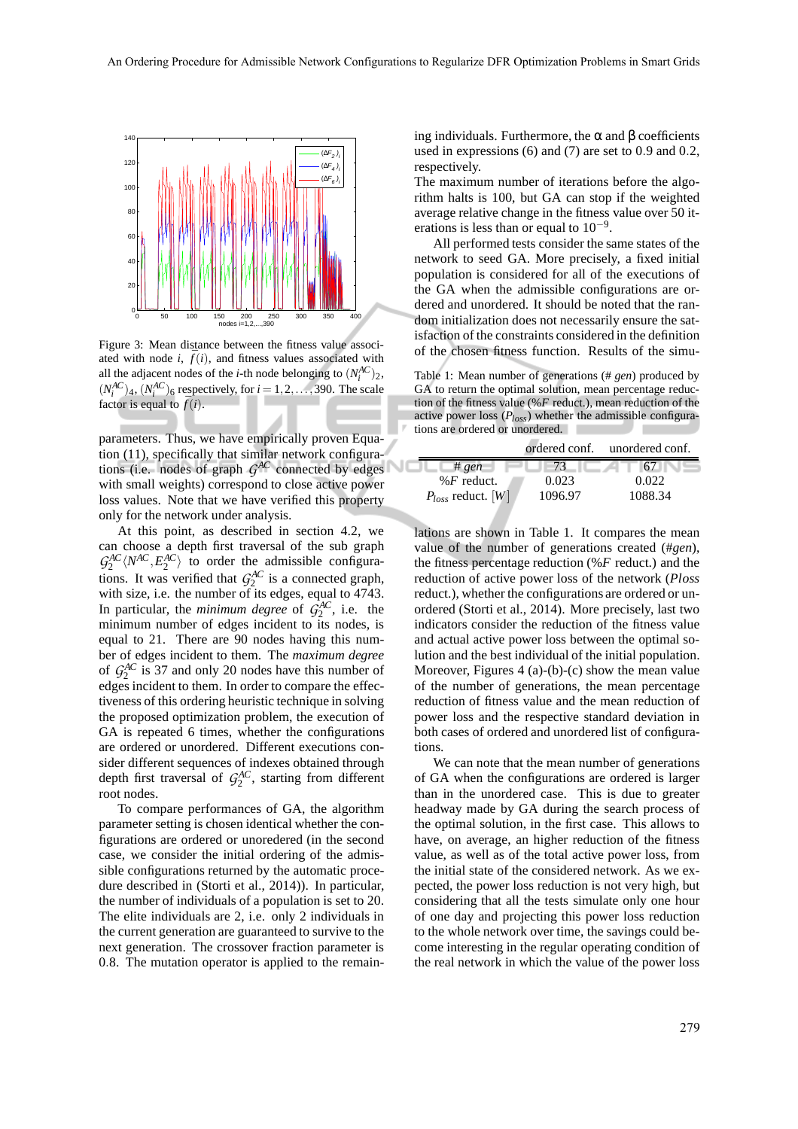NС



Figure 3: Mean distance between the fitness value associated with node *i*,  $\bar{f}(i)$ , and fitness values associated with all the adjacent nodes of the *i*-th node belonging to  $(N_i^{AC})_2$ ,  $(N_i^{AC})_4$ ,  $(N_i^{AC})_6$  respectively, for  $i = 1, 2, ..., 390$ . The scale factor is equal to  $\bar{f}(i)$ .

parameters. Thus, we have empirically proven Equation (11), specifically that similar network configurations (i.e. nodes of graph  $G^{AC}$  connected by edges with small weights) correspond to close active power loss values. Note that we have verified this property only for the network under analysis.

At this point, as described in section 4.2, we can choose a depth first traversal of the sub graph  $G_2^{AC} \langle N^{AC}, E_2^{AC} \rangle$  to order the admissible configurations. It was verified that  $G_2^{AC}$  is a connected graph, with size, i.e. the number of its edges, equal to 4743. In particular, the *minimum degree* of  $\tilde{G}_2^{AC}$ , i.e. the minimum number of edges incident to its nodes, is equal to 21. There are 90 nodes having this number of edges incident to them. The *maximum degree* of  $G_2^{AC}$  is 37 and only 20 nodes have this number of edges incident to them. In order to compare the effectiveness of this ordering heuristic technique in solving the proposed optimization problem, the execution of GA is repeated 6 times, whether the configurations are ordered or unordered. Different executions consider different sequences of indexes obtained through depth first traversal of  $G_2^{AC}$ , starting from different root nodes.

To compare performances of GA, the algorithm parameter setting is chosen identical whether the configurations are ordered or unoredered (in the second case, we consider the initial ordering of the admissible configurations returned by the automatic procedure described in (Storti et al., 2014)). In particular, the number of individuals of a population is set to 20. The elite individuals are 2, i.e. only 2 individuals in the current generation are guaranteed to survive to the next generation. The crossover fraction parameter is 0.8. The mutation operator is applied to the remaining individuals. Furthermore, the α and β coefficients used in expressions (6) and (7) are set to 0.9 and 0.2, respectively.

The maximum number of iterations before the algorithm halts is 100, but GA can stop if the weighted average relative change in the fitness value over 50 iterations is less than or equal to  $10^{-9}$ .

All performed tests consider the same states of the network to seed GA. More precisely, a fixed initial population is considered for all of the executions of the GA when the admissible configurations are ordered and unordered. It should be noted that the random initialization does not necessarily ensure the satisfaction of the constraints considered in the definition of the chosen fitness function. Results of the simu-

Table 1: Mean number of generations (# *gen*) produced by GA to return the optimal solution, mean percentage reduction of the fitness value (%*F* reduct.), mean reduction of the active power loss (*Ploss*) whether the admissible configurations are ordered or unordered.

|                        |         | ordered conf. unordered conf. |
|------------------------|---------|-------------------------------|
| #gen                   | 73.     |                               |
| % $F$ reduct.          | 0.023   | 0.022                         |
| $P_{loss}$ reduct. [W] | 1096.97 | 1088.34                       |

lations are shown in Table 1. It compares the mean value of the number of generations created (#*gen*), the fitness percentage reduction (%*F* reduct.) and the reduction of active power loss of the network (*Ploss* reduct.), whether the configurations are ordered or unordered (Storti et al., 2014). More precisely, last two indicators consider the reduction of the fitness value and actual active power loss between the optimal solution and the best individual of the initial population. Moreover, Figures 4 (a)-(b)-(c) show the mean value of the number of generations, the mean percentage reduction of fitness value and the mean reduction of power loss and the respective standard deviation in both cases of ordered and unordered list of configurations.

We can note that the mean number of generations of GA when the configurations are ordered is larger than in the unordered case. This is due to greater headway made by GA during the search process of the optimal solution, in the first case. This allows to have, on average, an higher reduction of the fitness value, as well as of the total active power loss, from the initial state of the considered network. As we expected, the power loss reduction is not very high, but considering that all the tests simulate only one hour of one day and projecting this power loss reduction to the whole network over time, the savings could become interesting in the regular operating condition of the real network in which the value of the power loss